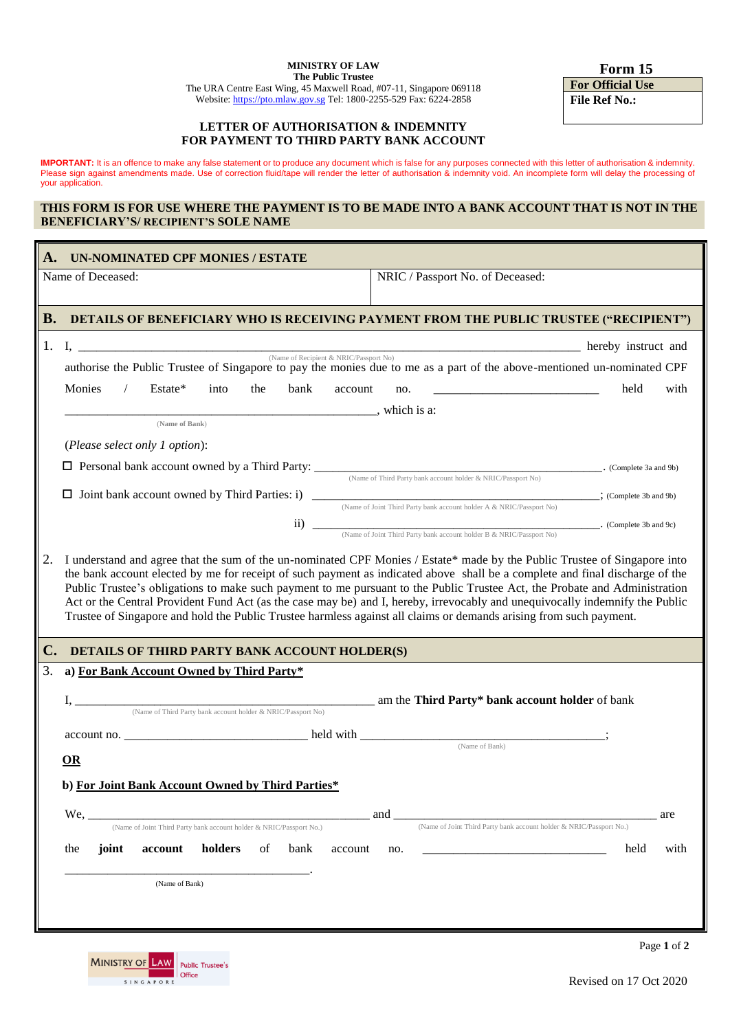**Form 15**

**For Official Use File Ref No.:**

### **LETTER OF AUTHORISATION & INDEMNITY FOR PAYMENT TO THIRD PARTY BANK ACCOUNT**

**IMPORTANT:** It is an offence to make any false statement or to produce any document which is false for any purposes connected with this letter of authorisation & indemnity. Please sign against amendments made. Use of correction fluid/tape will render the letter of authorisation & indemnity void. An incomplete form will delay the processing of your application.

#### **THIS FORM IS FOR USE WHERE THE PAYMENT IS TO BE MADE INTO A BANK ACCOUNT THAT IS NOT IN THE BENEFICIARY'S/ RECIPIENT'S SOLE NAME**

| А.        | <b>UN-NOMINATED CPF MONIES / ESTATE</b>                                                                                                                                                                                                                                                                                                                                                                                     |  |  |  |  |
|-----------|-----------------------------------------------------------------------------------------------------------------------------------------------------------------------------------------------------------------------------------------------------------------------------------------------------------------------------------------------------------------------------------------------------------------------------|--|--|--|--|
|           | NRIC / Passport No. of Deceased:<br>Name of Deceased:                                                                                                                                                                                                                                                                                                                                                                       |  |  |  |  |
|           |                                                                                                                                                                                                                                                                                                                                                                                                                             |  |  |  |  |
| <b>B.</b> | DETAILS OF BENEFICIARY WHO IS RECEIVING PAYMENT FROM THE PUBLIC TRUSTEE ("RECIPIENT")                                                                                                                                                                                                                                                                                                                                       |  |  |  |  |
|           | 1. I, $\frac{N_{\text{A}}}{N_{\text{A}}\sqrt{N_{\text{A}}}\sqrt{N_{\text{A}}}\sqrt{N_{\text{A}}}\sqrt{N_{\text{A}}}\sqrt{N_{\text{A}}}\sqrt{N_{\text{A}}}\sqrt{N_{\text{A}}}\sqrt{N_{\text{A}}}\sqrt{N_{\text{A}}}\sqrt{N_{\text{A}}}\sqrt{N_{\text{A}}}\sqrt{N_{\text{A}}}\sqrt{N_{\text{A}}}\sqrt{N_{\text{A}}}\sqrt{N_{\text{A}}}\sqrt{N_{\text{A}}}\sqrt{N_{\text{A}}}\sqrt{N_{\text{A}}}\sqrt{N_{\text{A}}}\sqrt{N_{\$ |  |  |  |  |
|           | authorise the Public Trustee of Singapore to pay the monies due to me as a part of the above-mentioned un-nominated CPF                                                                                                                                                                                                                                                                                                     |  |  |  |  |
|           | Monies<br>Estate*<br>$\frac{1}{2}$<br>into<br>the<br>bank<br><u> 1980 - Jan Barbarat, martin dina masjid a shekara ta 1980 a shekara ta 1980 a shekara ta 1980 a shekara ta 19</u><br>held<br>with<br>account<br>no.                                                                                                                                                                                                        |  |  |  |  |
|           | (Name of Bank)                                                                                                                                                                                                                                                                                                                                                                                                              |  |  |  |  |
|           | (Please select only 1 option):                                                                                                                                                                                                                                                                                                                                                                                              |  |  |  |  |
|           | <b>D</b> Personal bank account owned by a Third Party: (Name of Third Party bank account holder & NRIC/Passport No) (Complete 3a and 9b)                                                                                                                                                                                                                                                                                    |  |  |  |  |
|           |                                                                                                                                                                                                                                                                                                                                                                                                                             |  |  |  |  |
|           |                                                                                                                                                                                                                                                                                                                                                                                                                             |  |  |  |  |
|           |                                                                                                                                                                                                                                                                                                                                                                                                                             |  |  |  |  |
|           | Public Trustee's obligations to make such payment to me pursuant to the Public Trustee Act, the Probate and Administration<br>Act or the Central Provident Fund Act (as the case may be) and I, hereby, irrevocably and unequivocally indemnify the Public<br>Trustee of Singapore and hold the Public Trustee harmless against all claims or demands arising from such payment.                                            |  |  |  |  |
| C.        | DETAILS OF THIRD PARTY BANK ACCOUNT HOLDER(S)                                                                                                                                                                                                                                                                                                                                                                               |  |  |  |  |
| 3.        | a) For Bank Account Owned by Third Party*                                                                                                                                                                                                                                                                                                                                                                                   |  |  |  |  |
|           |                                                                                                                                                                                                                                                                                                                                                                                                                             |  |  |  |  |
|           |                                                                                                                                                                                                                                                                                                                                                                                                                             |  |  |  |  |
|           | (Name of Bank)<br>OR                                                                                                                                                                                                                                                                                                                                                                                                        |  |  |  |  |
|           | b) For Joint Bank Account Owned by Third Parties*                                                                                                                                                                                                                                                                                                                                                                           |  |  |  |  |
|           |                                                                                                                                                                                                                                                                                                                                                                                                                             |  |  |  |  |
|           | $We, \_$<br>and<br>are<br>(Name of Joint Third Party bank account holder & NRIC/Passport No.)<br>(Name of Joint Third Party bank account holder & NRIC/Passport No.)                                                                                                                                                                                                                                                        |  |  |  |  |
|           | holders<br>joint<br>of<br>held<br>with<br>the<br>account<br>bank<br>account<br>no.                                                                                                                                                                                                                                                                                                                                          |  |  |  |  |
|           |                                                                                                                                                                                                                                                                                                                                                                                                                             |  |  |  |  |
|           | (Name of Bank)                                                                                                                                                                                                                                                                                                                                                                                                              |  |  |  |  |
|           |                                                                                                                                                                                                                                                                                                                                                                                                                             |  |  |  |  |
|           | Page 1 of 2                                                                                                                                                                                                                                                                                                                                                                                                                 |  |  |  |  |
|           | MINISTRY OF LAW Public Trustee's                                                                                                                                                                                                                                                                                                                                                                                            |  |  |  |  |

 $\blacksquare$  Office

SINGAPORE